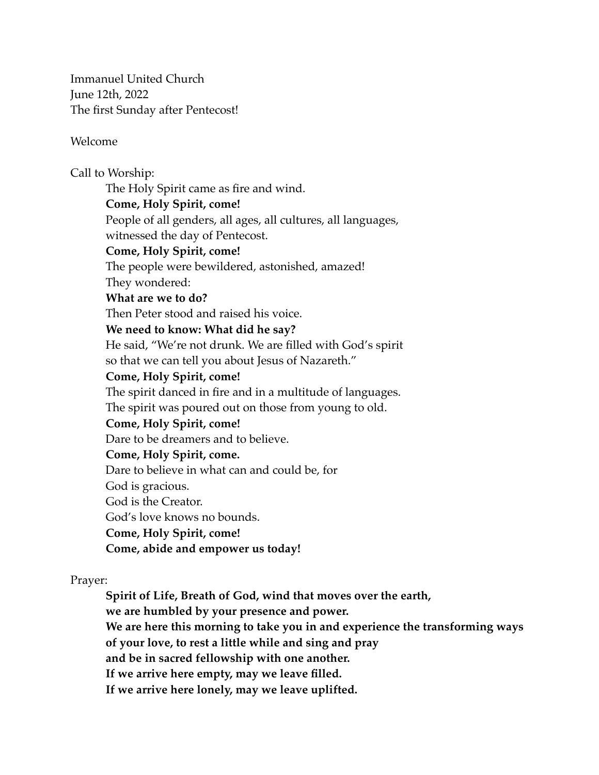Immanuel United Church June 12th, 2022 The first Sunday after Pentecost!

#### Welcome

Call to Worship: The Holy Spirit came as fire and wind. **Come, Holy Spirit, come!**  People of all genders, all ages, all cultures, all languages, witnessed the day of Pentecost. **Come, Holy Spirit, come!** The people were bewildered, astonished, amazed! They wondered: **What are we to do?** Then Peter stood and raised his voice. **We need to know: What did he say?** He said, "We're not drunk. We are filled with God's spirit so that we can tell you about Jesus of Nazareth." **Come, Holy Spirit, come!** The spirit danced in fire and in a multitude of languages. The spirit was poured out on those from young to old. **Come, Holy Spirit, come!** Dare to be dreamers and to believe. **Come, Holy Spirit, come.**  Dare to believe in what can and could be, for God is gracious. God is the Creator. God's love knows no bounds.

**Come, Holy Spirit, come!** 

**Come, abide and empower us today!**

#### Prayer:

**Spirit of Life, Breath of God, wind that moves over the earth, we are humbled by your presence and power. We are here this morning to take you in and experience the transforming ways of your love, to rest a little while and sing and pray and be in sacred fellowship with one another. If we arrive here empty, may we leave filled. If we arrive here lonely, may we leave uplifted.**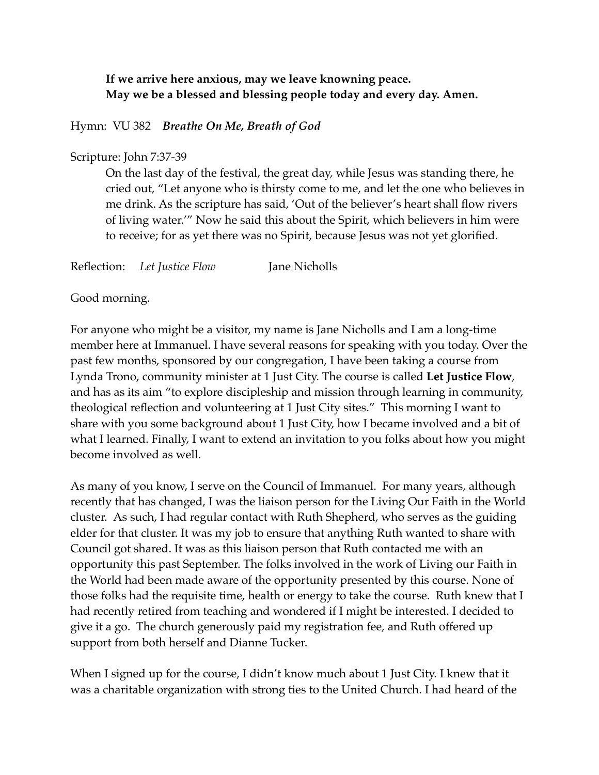# **If we arrive here anxious, may we leave knowning peace. May we be a blessed and blessing people today and every day. Amen.**

## Hymn: VU 382 *Breathe On Me, Breath of God*

### Scripture: John 7:37-39

On the last day of the festival, the great day, while Jesus was standing there, he cried out, "Let anyone who is thirsty come to me, and let the one who believes in me drink. As the scripture has said, 'Out of the believer's heart shall flow rivers of living water.'" Now he said this about the Spirit, which believers in him were to receive; for as yet there was no Spirit, because Jesus was not yet glorified.

Reflection: *Let Justice Flow* Jane Nicholls

## Good morning.

For anyone who might be a visitor, my name is Jane Nicholls and I am a long-time member here at Immanuel. I have several reasons for speaking with you today. Over the past few months, sponsored by our congregation, I have been taking a course from Lynda Trono, community minister at 1 Just City. The course is called **Let Justice Flow**, and has as its aim "to explore discipleship and mission through learning in community, theological reflection and volunteering at 1 Just City sites." This morning I want to share with you some background about 1 Just City, how I became involved and a bit of what I learned. Finally, I want to extend an invitation to you folks about how you might become involved as well.

As many of you know, I serve on the Council of Immanuel. For many years, although recently that has changed, I was the liaison person for the Living Our Faith in the World cluster. As such, I had regular contact with Ruth Shepherd, who serves as the guiding elder for that cluster. It was my job to ensure that anything Ruth wanted to share with Council got shared. It was as this liaison person that Ruth contacted me with an opportunity this past September. The folks involved in the work of Living our Faith in the World had been made aware of the opportunity presented by this course. None of those folks had the requisite time, health or energy to take the course. Ruth knew that I had recently retired from teaching and wondered if I might be interested. I decided to give it a go. The church generously paid my registration fee, and Ruth offered up support from both herself and Dianne Tucker.

When I signed up for the course, I didn't know much about 1 Just City. I knew that it was a charitable organization with strong ties to the United Church. I had heard of the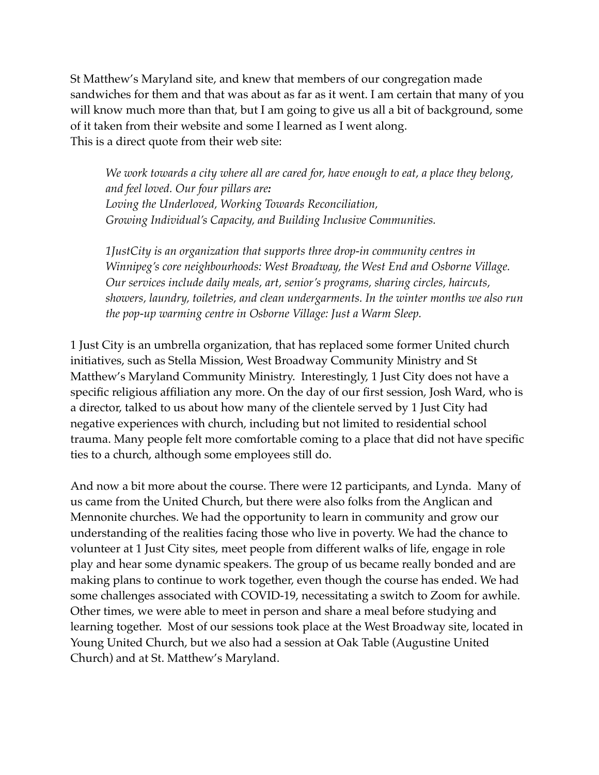St Matthew's Maryland site, and knew that members of our congregation made sandwiches for them and that was about as far as it went. I am certain that many of you will know much more than that, but I am going to give us all a bit of background, some of it taken from their website and some I learned as I went along. This is a direct quote from their web site:

*We work towards a city where all are cared for, have enough to eat, a place they belong, and feel loved. Our four pillars are: Loving the Underloved, Working Towards Reconciliation, Growing Individual's Capacity, and Building Inclusive Communities.*

*1JustCity is an organization that supports three drop-in community centres in Winnipeg's core neighbourhoods: West Broadway, the West End and Osborne Village. Our services include daily meals, art, senior's programs, sharing circles, haircuts, showers, laundry, toiletries, and clean undergarments. In the winter months we also run the pop-up warming centre in Osborne Village: Just a Warm Sleep.*

1 Just City is an umbrella organization, that has replaced some former United church initiatives, such as Stella Mission, West Broadway Community Ministry and St Matthew's Maryland Community Ministry. Interestingly, 1 Just City does not have a specific religious affiliation any more. On the day of our first session, Josh Ward, who is a director, talked to us about how many of the clientele served by 1 Just City had negative experiences with church, including but not limited to residential school trauma. Many people felt more comfortable coming to a place that did not have specific ties to a church, although some employees still do.

And now a bit more about the course. There were 12 participants, and Lynda. Many of us came from the United Church, but there were also folks from the Anglican and Mennonite churches. We had the opportunity to learn in community and grow our understanding of the realities facing those who live in poverty. We had the chance to volunteer at 1 Just City sites, meet people from different walks of life, engage in role play and hear some dynamic speakers. The group of us became really bonded and are making plans to continue to work together, even though the course has ended. We had some challenges associated with COVID-19, necessitating a switch to Zoom for awhile. Other times, we were able to meet in person and share a meal before studying and learning together. Most of our sessions took place at the West Broadway site, located in Young United Church, but we also had a session at Oak Table (Augustine United Church) and at St. Matthew's Maryland.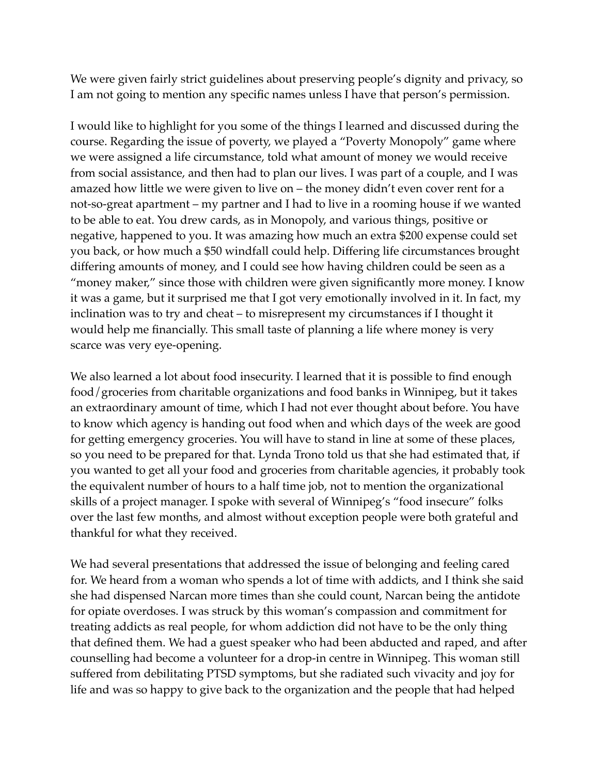We were given fairly strict guidelines about preserving people's dignity and privacy, so I am not going to mention any specific names unless I have that person's permission.

I would like to highlight for you some of the things I learned and discussed during the course. Regarding the issue of poverty, we played a "Poverty Monopoly" game where we were assigned a life circumstance, told what amount of money we would receive from social assistance, and then had to plan our lives. I was part of a couple, and I was amazed how little we were given to live on – the money didn't even cover rent for a not-so-great apartment – my partner and I had to live in a rooming house if we wanted to be able to eat. You drew cards, as in Monopoly, and various things, positive or negative, happened to you. It was amazing how much an extra \$200 expense could set you back, or how much a \$50 windfall could help. Differing life circumstances brought differing amounts of money, and I could see how having children could be seen as a "money maker," since those with children were given significantly more money. I know it was a game, but it surprised me that I got very emotionally involved in it. In fact, my inclination was to try and cheat – to misrepresent my circumstances if I thought it would help me financially. This small taste of planning a life where money is very scarce was very eye-opening.

We also learned a lot about food insecurity. I learned that it is possible to find enough food/groceries from charitable organizations and food banks in Winnipeg, but it takes an extraordinary amount of time, which I had not ever thought about before. You have to know which agency is handing out food when and which days of the week are good for getting emergency groceries. You will have to stand in line at some of these places, so you need to be prepared for that. Lynda Trono told us that she had estimated that, if you wanted to get all your food and groceries from charitable agencies, it probably took the equivalent number of hours to a half time job, not to mention the organizational skills of a project manager. I spoke with several of Winnipeg's "food insecure" folks over the last few months, and almost without exception people were both grateful and thankful for what they received.

We had several presentations that addressed the issue of belonging and feeling cared for. We heard from a woman who spends a lot of time with addicts, and I think she said she had dispensed Narcan more times than she could count, Narcan being the antidote for opiate overdoses. I was struck by this woman's compassion and commitment for treating addicts as real people, for whom addiction did not have to be the only thing that defined them. We had a guest speaker who had been abducted and raped, and after counselling had become a volunteer for a drop-in centre in Winnipeg. This woman still suffered from debilitating PTSD symptoms, but she radiated such vivacity and joy for life and was so happy to give back to the organization and the people that had helped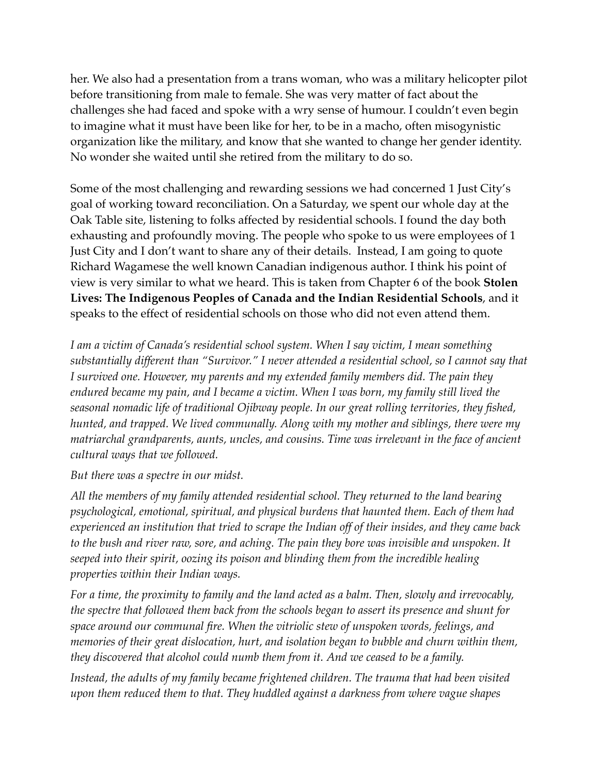her. We also had a presentation from a trans woman, who was a military helicopter pilot before transitioning from male to female. She was very matter of fact about the challenges she had faced and spoke with a wry sense of humour. I couldn't even begin to imagine what it must have been like for her, to be in a macho, often misogynistic organization like the military, and know that she wanted to change her gender identity. No wonder she waited until she retired from the military to do so.

Some of the most challenging and rewarding sessions we had concerned 1 Just City's goal of working toward reconciliation. On a Saturday, we spent our whole day at the Oak Table site, listening to folks affected by residential schools. I found the day both exhausting and profoundly moving. The people who spoke to us were employees of 1 Just City and I don't want to share any of their details. Instead, I am going to quote Richard Wagamese the well known Canadian indigenous author. I think his point of view is very similar to what we heard. This is taken from Chapter 6 of the book **Stolen Lives: The Indigenous Peoples of Canada and the Indian Residential Schools**, and it speaks to the effect of residential schools on those who did not even attend them.

*I am a victim of Canada's residential school system. When I say victim, I mean something substantially different than "Survivor." I never attended a residential school, so I cannot say that I survived one. However, my parents and my extended family members did. The pain they endured became my pain, and I became a victim. When I was born, my family still lived the seasonal nomadic life of traditional Ojibway people. In our great rolling territories, they fished, hunted, and trapped. We lived communally. Along with my mother and siblings, there were my matriarchal grandparents, aunts, uncles, and cousins. Time was irrelevant in the face of ancient cultural ways that we followed.*

*But there was a spectre in our midst.*

*All the members of my family attended residential school. They returned to the land bearing psychological, emotional, spiritual, and physical burdens that haunted them. Each of them had experienced an institution that tried to scrape the Indian off of their insides, and they came back to the bush and river raw, sore, and aching. The pain they bore was invisible and unspoken. It seeped into their spirit, oozing its poison and blinding them from the incredible healing properties within their Indian ways.*

*For a time, the proximity to family and the land acted as a balm. Then, slowly and irrevocably, the spectre that followed them back from the schools began to assert its presence and shunt for space around our communal fire. When the vitriolic stew of unspoken words, feelings, and memories of their great dislocation, hurt, and isolation began to bubble and churn within them, they discovered that alcohol could numb them from it. And we ceased to be a family.*

*Instead, the adults of my family became frightened children. The trauma that had been visited upon them reduced them to that. They huddled against a darkness from where vague shapes*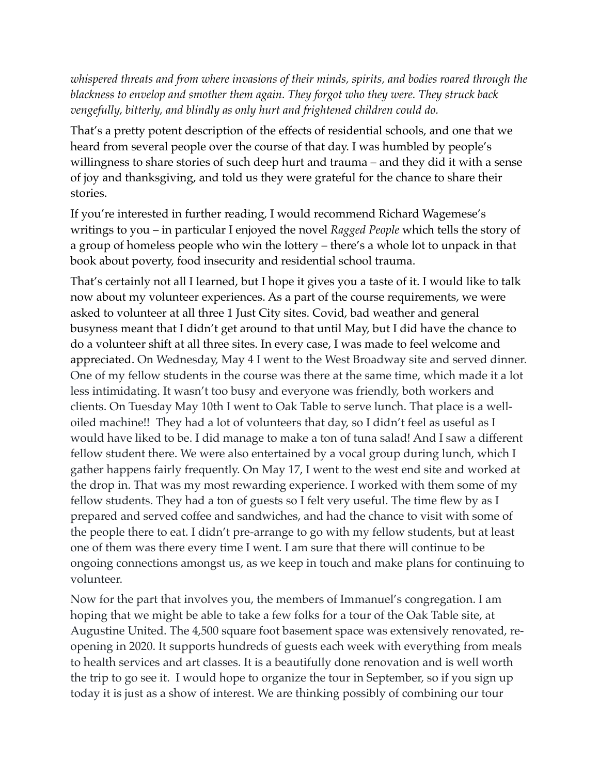*whispered threats and from where invasions of their minds, spirits, and bodies roared through the blackness to envelop and smother them again. They forgot who they were. They struck back vengefully, bitterly, and blindly as only hurt and frightened children could do.*

That's a pretty potent description of the effects of residential schools, and one that we heard from several people over the course of that day. I was humbled by people's willingness to share stories of such deep hurt and trauma – and they did it with a sense of joy and thanksgiving, and told us they were grateful for the chance to share their stories.

If you're interested in further reading, I would recommend Richard Wagemese's writings to you – in particular I enjoyed the novel *Ragged People* which tells the story of a group of homeless people who win the lottery – there's a whole lot to unpack in that book about poverty, food insecurity and residential school trauma.

That's certainly not all I learned, but I hope it gives you a taste of it. I would like to talk now about my volunteer experiences. As a part of the course requirements, we were asked to volunteer at all three 1 Just City sites. Covid, bad weather and general busyness meant that I didn't get around to that until May, but I did have the chance to do a volunteer shift at all three sites. In every case, I was made to feel welcome and appreciated. On Wednesday, May 4 I went to the West Broadway site and served dinner. One of my fellow students in the course was there at the same time, which made it a lot less intimidating. It wasn't too busy and everyone was friendly, both workers and clients. On Tuesday May 10th I went to Oak Table to serve lunch. That place is a welloiled machine!! They had a lot of volunteers that day, so I didn't feel as useful as I would have liked to be. I did manage to make a ton of tuna salad! And I saw a different fellow student there. We were also entertained by a vocal group during lunch, which I gather happens fairly frequently. On May 17, I went to the west end site and worked at the drop in. That was my most rewarding experience. I worked with them some of my fellow students. They had a ton of guests so I felt very useful. The time flew by as I prepared and served coffee and sandwiches, and had the chance to visit with some of the people there to eat. I didn't pre-arrange to go with my fellow students, but at least one of them was there every time I went. I am sure that there will continue to be ongoing connections amongst us, as we keep in touch and make plans for continuing to volunteer.

Now for the part that involves you, the members of Immanuel's congregation. I am hoping that we might be able to take a few folks for a tour of the Oak Table site, at Augustine United. The 4,500 square foot basement space was extensively renovated, reopening in 2020. It supports hundreds of guests each week with everything from meals to health services and art classes. It is a beautifully done renovation and is well worth the trip to go see it. I would hope to organize the tour in September, so if you sign up today it is just as a show of interest. We are thinking possibly of combining our tour